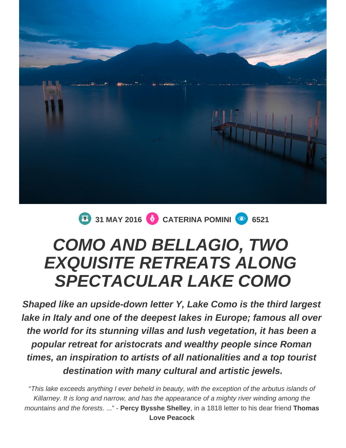

**31 MAY 2016 CATERINA POMINI 6521** 

# **COMO AND BELLAGIO, TWO EXQUISITE RETREATS ALONG SPECTACULAR LAKE COMO**

**Shaped like an upside-down letter Y, Lake Como is the third largest lake in Italy and one of the deepest lakes in Europe; famous all over the world for its stunning villas and lush vegetation, it has been a popular retreat for aristocrats and wealthy people since Roman times, an inspiration to artists of all nationalities and a top tourist destination with many cultural and artistic jewels.**

"This lake exceeds anything I ever beheld in beauty, with the exception of the arbutus islands of Killarney. It is long and narrow, and has the appearance of a mighty river winding among the mountains and the forests. ..." - **Percy Bysshe Shelley**, in a 1818 letter to his dear friend **Thomas Love Peacock**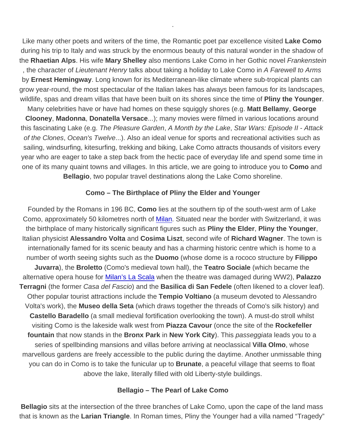Like many other poets and writers of the time, the Romantic poet par excellence visited Lake Como during his trip to Italy and was struck by the enormous beauty of this natural wonder in the shadow of the Rhaetian Alps . His wife Mary Shelley also mentions Lake Como in her Gothic novel Frankenstein , the character of Lieutenant Henry talks about taking a holiday to Lake Como in A Farewell to Arms by Ernest Hemingway . Long known for its Mediterranean-like climate where sub-tropical plants can grow year-round, the most spectacular of the Italian lakes has always been famous for its landscapes, wildlife, spas and dream villas that have been built on its shores since the time of Pliny the Younger.

.

Many celebrities have or have had homes on these squiggly shores (e.g. Matt Bellamy , George Clooney , Madonna , Donatella Versace ...); many movies were filmed in various locations around this fascinating Lake (e.g. The Pleasure Garden, A Month by the Lake, Star Wars: Episode II - Attack of the Clones, Ocean's Twelve...). Also an ideal venue for sports and recreational activities such as sailing, windsurfing, kitesurfing, trekking and biking, Lake Como attracts thousands of visitors every year who are eager to take a step back from the hectic pace of everyday life and spend some time in one of its many quaint towns and villages. In this article, we are going to introduce you to Como and Bellagio , two popular travel destinations along the Lake Como shoreline.

### Como – The Birthplace of Pliny the Elder and Younger

Founded by the Romans in 196 BC, Como lies at the southern tip of the south-west arm of Lake Como, approximately 50 kilometres north of [Milan.](http://www.spellbindingitaly.com/en/article/13-discover-the-hidden-beauty-of-milan-italys-most-lively-city) Situated near the border with Switzerland, it was the birthplace of many historically significant figures such as Pliny the Elder , Pliny the Younger , Italian physicist Alessandro Volta and Cosima Liszt , second wife of Richard Wagner . The town is internationally famed for its scenic beauty and has a charming historic centre which is home to a number of worth seeing sights such as the Duomo (whose dome is a rococo structure by Filippo Juvarra ), the Broletto (Como's medieval town hall), the Teatro Sociale (which became the alternative opera house for [Milan's La Scala](https://www.ciaoflorence.it/en/tour-detail/87) when the theatre was damaged during WW2), Palazzo Terragni (the former Casa del Fascio) and the Basilica di San Fedele (often likened to a clover leaf). Other popular tourist attractions include the Tempio Voltiano (a museum devoted to Alessandro Volta's work), the Museo della Seta (which draws together the threads of Como's silk history) and Castello Baradello (a small medieval fortification overlooking the town). A must-do stroll whilst visiting Como is the lakeside walk west from Piazza Cavour (once the site of the Rockefeller fountain that now stands in the Bronx Park in New York City ). This passeggiata leads you to a series of spellbinding mansions and villas before arriving at neoclassical Villa Olmo , whose marvellous gardens are freely accessible to the public during the daytime. Another unmissable thing you can do in Como is to take the funicular up to Brunate , a peaceful village that seems to float above the lake, literally filled with old Liberty-style buildings.

### Bellagio – The Pearl of Lake Como

Bellagio sits at the intersection of the three branches of Lake Como, upon the cape of the land mass that is known as the Larian Triangle . In Roman times, Pliny the Younger had a villa named "Tragedy"